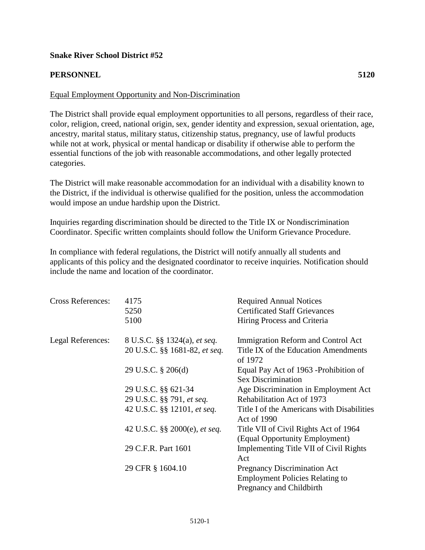## **Snake River School District #52**

## **PERSONNEL 5120**

## Equal Employment Opportunity and Non-Discrimination

The District shall provide equal employment opportunities to all persons, regardless of their race, color, religion, creed, national origin, sex, gender identity and expression, sexual orientation, age, ancestry, marital status, military status, citizenship status, pregnancy, use of lawful products while not at work, physical or mental handicap or disability if otherwise able to perform the essential functions of the job with reasonable accommodations, and other legally protected categories.

The District will make reasonable accommodation for an individual with a disability known to the District, if the individual is otherwise qualified for the position, unless the accommodation would impose an undue hardship upon the District.

Inquiries regarding discrimination should be directed to the Title IX or Nondiscrimination Coordinator. Specific written complaints should follow the Uniform Grievance Procedure.

In compliance with federal regulations, the District will notify annually all students and applicants of this policy and the designated coordinator to receive inquiries. Notification should include the name and location of the coordinator.

| <b>Cross References:</b> | 4175<br>5250<br>5100                                                 | <b>Required Annual Notices</b><br><b>Certificated Staff Grievances</b><br>Hiring Process and Criteria     |
|--------------------------|----------------------------------------------------------------------|-----------------------------------------------------------------------------------------------------------|
| Legal References:        | 8 U.S.C. §§ 1324(a), <i>et seq.</i><br>20 U.S.C. §§ 1681-82, et seq. | Immigration Reform and Control Act<br>Title IX of the Education Amendments<br>of 1972                     |
|                          | 29 U.S.C. § 206(d)                                                   | Equal Pay Act of 1963 - Prohibition of<br><b>Sex Discrimination</b>                                       |
|                          | 29 U.S.C. §§ 621-34                                                  | Age Discrimination in Employment Act                                                                      |
|                          | 29 U.S.C. §§ 791, et seq.                                            | Rehabilitation Act of 1973                                                                                |
|                          | 42 U.S.C. §§ 12101, et seq.                                          | Title I of the Americans with Disabilities<br><b>Act of 1990</b>                                          |
|                          | 42 U.S.C. §§ 2000(e), <i>et seq.</i>                                 | Title VII of Civil Rights Act of 1964<br>(Equal Opportunity Employment)                                   |
|                          | 29 C.F.R. Part 1601                                                  | Implementing Title VII of Civil Rights<br>Act                                                             |
|                          | 29 CFR § 1604.10                                                     | <b>Pregnancy Discrimination Act</b><br><b>Employment Policies Relating to</b><br>Pregnancy and Childbirth |